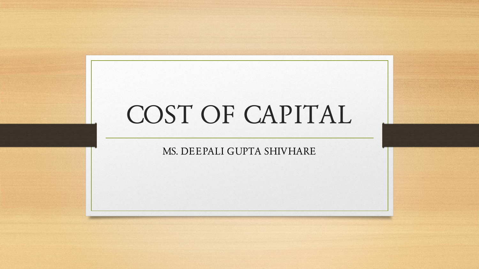# COST OF CAPITAL

MS. DEEPALI GUPTA SHIVHARE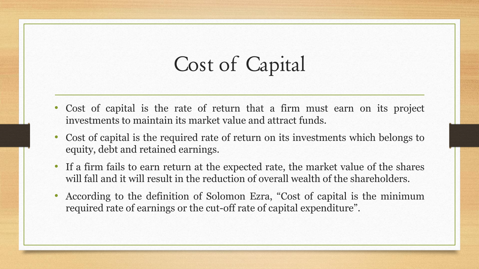# Cost of Capital

- Cost of capital is the rate of return that a firm must earn on its project investments to maintain its market value and attract funds.
- Cost of capital is the required rate of return on its investments which belongs to equity, debt and retained earnings.
- If a firm fails to earn return at the expected rate, the market value of the shares will fall and it will result in the reduction of overall wealth of the shareholders.
- According to the definition of Solomon Ezra, "Cost of capital is the minimum required rate of earnings or the cut-off rate of capital expenditure".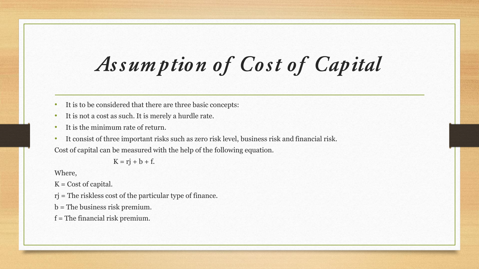# **Assumption of Cost of Capital**

- It is to be considered that there are three basic concepts:
- It is not a cost as such. It is merely a hurdle rate.
- It is the minimum rate of return.
- It consist of three important risks such as zero risk level, business risk and financial risk.

Cost of capital can be measured with the help of the following equation.

 $K = r**i** + **b** + **f**$ .

Where,

 $K = \text{Cost of capital.}$ 

- rj = The riskless cost of the particular type of finance.
- b = The business risk premium.
- $f =$ The financial risk premium.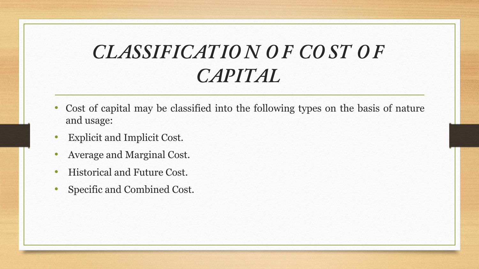### **CLASSIFICATIO N O F CO ST O F CAPITAL**

- Cost of capital may be classified into the following types on the basis of nature and usage:
- Explicit and Implicit Cost.
- Average and Marginal Cost.
- Historical and Future Cost.
- Specific and Combined Cost.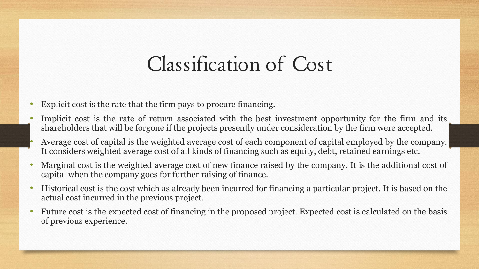## Classification of Cost

- Explicit cost is the rate that the firm pays to procure financing.
- Implicit cost is the rate of return associated with the best investment opportunity for the firm and its shareholders that will be forgone if the projects presently under consideration by the firm were accepted.
- Average cost of capital is the weighted average cost of each component of capital employed by the company. It considers weighted average cost of all kinds of financing such as equity, debt, retained earnings etc.
- Marginal cost is the weighted average cost of new finance raised by the company. It is the additional cost of capital when the company goes for further raising of finance.
- Historical cost is the cost which as already been incurred for financing a particular project. It is based on the actual cost incurred in the previous project.
- Future cost is the expected cost of financing in the proposed project. Expected cost is calculated on the basis of previous experience.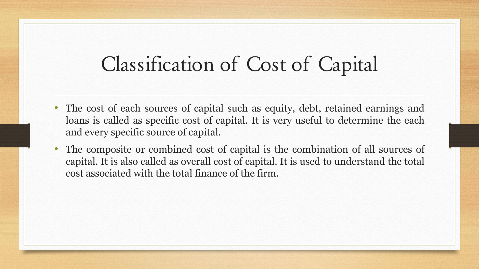### Classification of Cost of Capital

- The cost of each sources of capital such as equity, debt, retained earnings and loans is called as specific cost of capital. It is very useful to determine the each and every specific source of capital.
- The composite or combined cost of capital is the combination of all sources of capital. It is also called as overall cost of capital. It is used to understand the total cost associated with the total finance of the firm.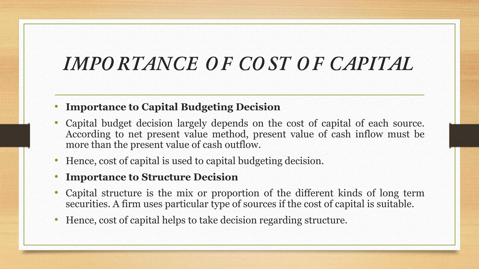### **IMPO RTANCE O F CO ST O F CAPITAL**

#### • **Importance to Capital Budgeting Decision**

- Capital budget decision largely depends on the cost of capital of each source. According to net present value method, present value of cash inflow must be more than the present value of cash outflow.
- Hence, cost of capital is used to capital budgeting decision.
- **Importance to Structure Decision**
- Capital structure is the mix or proportion of the different kinds of long term securities. A firm uses particular type of sources if the cost of capital is suitable.
- Hence, cost of capital helps to take decision regarding structure.